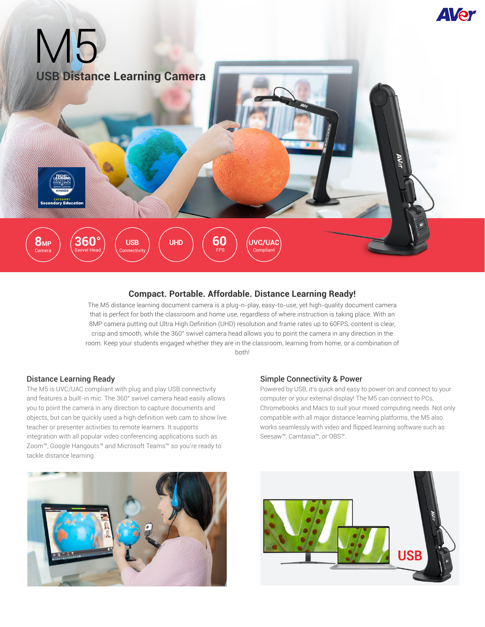

## **Compact. Portable. Affordable. Distance Learning Ready!**

The M5 distance learning document camera is a plug-n-play, easy-to-use, yet high-quality document camera that is perfect for both the classroom and home use, regardless of where instruction is taking place. With an 8MP camera putting out Ultra High Definition (UHD) resolution and frame rates up to 60FPS, content is clear, crisp and smooth, while the 360° swivel camera head allows you to point the camera in any direction in the room. Keep your students engaged whether they are in the classroom, learning from home, or a combination of both!

#### Distance Learning Ready

The M5 is UVC/UAC compliant with plug and play USB connectivity and features a built-in mic. The 360° swivel camera head easily allows you to point the camera in any direction to capture documents and objects, but can be quickly used a high definition web cam to show live teacher or presenter activities to remote learners. It supports integration with all popular video conferencing applications such as Zoom™, Google Hangouts™ and Microsoft Teams™ so you're ready to tackle distance learning.

#### Simple Connectivity & Power

Powered by USB, it's quick and easy to power on and connect to your computer or your external display! The M5 can connect to PCs, Chromebooks and Macs to suit your mixed computing needs. Not only compatible with all major distance learning platforms, the M5 also works seamlessly with video and flipped learning software such as Seesaw™, Camtasia™, or OBS™.